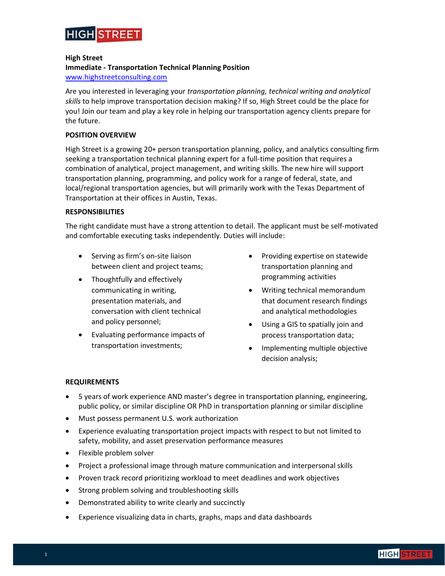

## **High Street**

# **Immediate - Transportation Technical Planning Position**

[www.highstreetconsulting.com](http://www.highstreetconsulting.com/)

Are you interested in leveraging your *transportation planning, technical writing and analytical skills* to help improve transportation decision making? If so, High Street could be the place for you! Join our team and play a key role in helping our transportation agency clients prepare for the future.

## **POSITION OVERVIEW**

High Street is a growing 20+ person transportation planning, policy, and analytics consulting firm seeking a transportation technical planning expert for a full-time position that requires a combination of analytical, project management, and writing skills. The new hire will support transportation planning, programming, and policy work for a range of federal, state, and local/regional transportation agencies, but will primarily work with the Texas Department of Transportation at their offices in Austin, Texas.

## **RESPONSIBILITIES**

The right candidate must have a strong attention to detail. The applicant must be self-motivated and comfortable executing tasks independently. Duties will include:

- Serving as firm's on-site liaison between client and project teams;
- Thoughtfully and effectively communicating in writing, presentation materials, and conversation with client technical and policy personnel;
- Evaluating performance impacts of transportation investments;
- Providing expertise on statewide transportation planning and programming activities
- Writing technical memorandum that document research findings and analytical methodologies
- Using a GIS to spatially join and process transportation data;
- Implementing multiple objective decision analysis;

# **REQUIREMENTS**

- 5 years of work experience AND master's degree in transportation planning, engineering, public policy, or similar discipline OR PhD in transportation planning or similar discipline
- Must possess permanent U.S. work authorization
- Experience evaluating transportation project impacts with respect to but not limited to safety, mobility, and asset preservation performance measures
- Flexible problem solver
- Project a professional image through mature communication and interpersonal skills
- Proven track record prioritizing workload to meet deadlines and work objectives
- Strong problem solving and troubleshooting skills
- Demonstrated ability to write clearly and succinctly
- Experience visualizing data in charts, graphs, maps and data dashboards